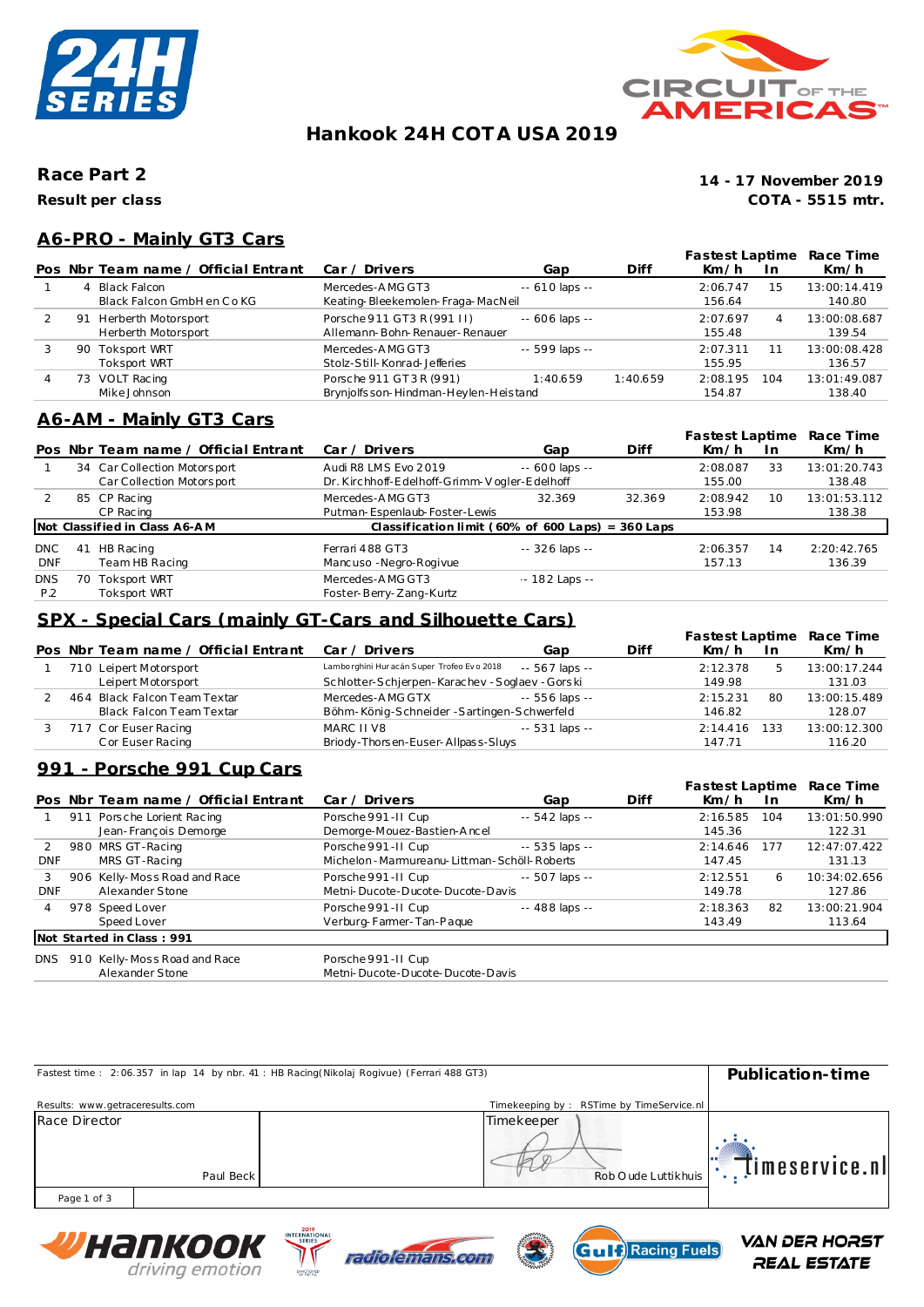



# **Hankook 24H COT A USA 2019**

**Race Part 2**

**Result per class**

**COTA - 5515 mtr. 14 - 17 November 2019**

## **A6-PRO - Mainly GT3 Cars**

|   |    |                                            |                                                                |                  |          | Fastest Laptime    |     | Race Time              |
|---|----|--------------------------------------------|----------------------------------------------------------------|------------------|----------|--------------------|-----|------------------------|
|   |    | Pos Nbr Team name / Official Entrant       | Car / Drivers                                                  | Gap              | Diff     | Km/h               | 1n  | Km/h                   |
|   | 4  | Black Falcon<br>Black Falcon GmbH en Co KG | Mercedes-AMG GT3<br>Keating-Bleekemolen-Fraga-MacNeil          | $- 610$ laps $-$ |          | 2:06.747<br>156.64 | 15  | 13:00:14.419<br>140.80 |
|   | 91 | Herberth Motorsport<br>Herberth Motorsport | Porsche 911 GT3 R (991 II)<br>Allemann-Bohn-Renauer-Renauer    | $- 606$ laps $-$ |          | 2:07.697<br>155.48 | 4   | 13:00:08.687<br>139.54 |
|   |    | 90 Toksport WRT<br><b>Toksport WRT</b>     | Mercedes-AMG GT3<br>Stolz-Still-Konrad-Jefferies               | -- 599 laps --   |          | 2:07.311<br>155.95 |     | 13:00:08.428<br>136.57 |
| 4 | 73 | VOLT Racing<br>Mike Johnson                | Porsche 911 GT3R (991)<br>Brynjolfsson-Hindman-Heylen-Heistand | 1:40.659         | 1:40.659 | 2:08.195<br>154.87 | 104 | 13:01:49.087<br>138.40 |

## **A6-AM - Mainly GT3 Cars**

|                   |    |                                                           |                                                                      |                  |        | Fastest Laptime    |     | Race Time              |
|-------------------|----|-----------------------------------------------------------|----------------------------------------------------------------------|------------------|--------|--------------------|-----|------------------------|
|                   |    | Pos Nbr Team name / Official Entrant                      | Car / Driver                                                         | Gap              | Diff   | Km/h               | In. | Km/h                   |
|                   |    | 34 Car Collection Motorsport<br>Car Collection Motorsport | Audi R8 LMS Evo 2019<br>Dr. Kirchhoff-Edelhoff-Grimm-Vogler-Edelhoff | $- 600$ laps $-$ |        | 2:08.087<br>155.00 | 33  | 13:01:20.743<br>138.48 |
|                   |    | 85 CP Racing<br>CP Racing                                 | Mercedes-AMG GT3<br>Putman-Espenlaub-Foster-Lewis                    | 32.369           | 32.369 | 2:08.942<br>153.98 | 10  | 13:01:53.112<br>138.38 |
|                   |    | Not Classified in Class A6-AM                             | Classification limit ( $60\%$ of $600$ Laps) = $360$ Laps            |                  |        |                    |     |                        |
| DNC<br><b>DNF</b> | 41 | HB Racing<br>Team HB Racing                               | Ferrari 488 GT3<br>Mancuso - Negro-Rogivue                           | $-326$ laps $-$  |        | 2:06.357<br>157.13 | 14  | 2:20:42.765<br>136.39  |
| <b>DNS</b><br>P.2 | 70 | Toksport WRT<br>Toksport WRT                              | Mercedes-AMG GT3<br>Foster-Berry-Zang-Kurtz                          | $-182$ Laps $-$  |        |                    |     |                        |

## **SPX - Special Cars (mainly GT-Cars and Silhouette Cars)**

|  |                                      |                                             |                 |      | Fastest Laptime |     | Race Time    |
|--|--------------------------------------|---------------------------------------------|-----------------|------|-----------------|-----|--------------|
|  | Pos Nbr Team name / Official Entrant | Car / Drivers                               | Gap             | Diff | Km/h            | In. | Km/h         |
|  | 710 Leipert Motorsport               | Lamborghini Hur acán Super Trofeo Evo 2018  | -- 567 laps --  |      | 2:12.378        |     | 13:00:17.244 |
|  | Leipert Motorsport                   | Schlotter-Schierpen-Karachev-Soglaev-Gorski |                 |      | 149.98          |     | 131.03       |
|  | 464 Black Falcon Team Textar         | Mercedes-AMG GTX                            | -- 556 laps --  |      | 2:15.231        | 80  | 13:00:15.489 |
|  | Black Falcon Team Textar             | Böhm-König-Schneider-Sartingen-Schwerfeld   |                 |      | 146.82          |     | 128.07       |
|  | 717 Cor Euser Racing                 | MARC II V8                                  | $-531$ laps $-$ |      | 2:14.416        | 133 | 13:00:12.300 |
|  | C or Euser Racing                    | Briody-Thorsen-Euser-Allpass-Sluys          |                 |      | 147.71          |     | 116.20       |

## **991 - Porsche 991 Cup Cars**

|            |                                      |                                                |                 |      | Fastest Laptime |           | Race Time    |
|------------|--------------------------------------|------------------------------------------------|-----------------|------|-----------------|-----------|--------------|
|            | Pos Nbr Team name / Official Entrant | Car / Drivers                                  | Gap             | Diff | Km/h            | <u>In</u> | Km/h         |
|            | 911 Porsche Lorient Racing           | Porsche 991-II Cup                             | $-542$ laps $-$ |      | 2:16.585        | 104       | 13:01:50.990 |
|            | Jean-François Demorge                | Demorge-Mouez-Bastien-Ancel                    |                 |      | 145.36          |           | 122.31       |
|            | 980 MRS GT-Racing                    | Porsche 991-II Cup                             | $-535$ laps $-$ |      | 2:14.646        | 177       | 12:47:07.422 |
| <b>DNF</b> | MRS GT-Racing                        | Michelon - Marmureanu-Littman - Schöll-Roberts |                 |      | 147.45          |           | 131.13       |
| 3          | 906 Kelly-Moss Road and Race         | Porsche 991-II Cup                             | $-507$ laps $-$ |      | 2:12.551        | 6         | 10:34:02.656 |
| <b>DNF</b> | Alexander Stone                      | Metni-Ducote-Ducote-Ducote-Davis               |                 |      | 149.78          |           | 127.86       |
| 4          | 978 Speed Lover                      | Porsche 991-II Cup                             | $-488$ laps $-$ |      | 2:18.363        | 82        | 13:00:21.904 |
|            | Speed Lover                          | Verburg-Farmer-Tan-Paque                       |                 |      | 143.49          |           | 113.64       |
|            | Not Started in Class: 991            |                                                |                 |      |                 |           |              |
| DNS        | 910 Kelly-Moss Road and Race         | Porsche 991-II Cup                             |                 |      |                 |           |              |
|            | Alexander Stone                      | Metni-Ducote-Ducote-Ducote-Davis               |                 |      |                 |           |              |

|                                 | Fastest time: 2:06.357 in lap 14 by nbr. 41 : HB Racing(Nikolaj Rogivue) (Ferrari 488 GT3)<br>Publication-time |
|---------------------------------|----------------------------------------------------------------------------------------------------------------|
| Results: www.getraceresults.com | Timekeeping by: RSTime by TimeService.nl                                                                       |
| Race Director                   | Timekeeper                                                                                                     |
|                                 | Timeservice.nll                                                                                                |
| Paul Beck                       | Rob O ude Luttikhuis                                                                                           |
| Page 1 of 3                     |                                                                                                                |







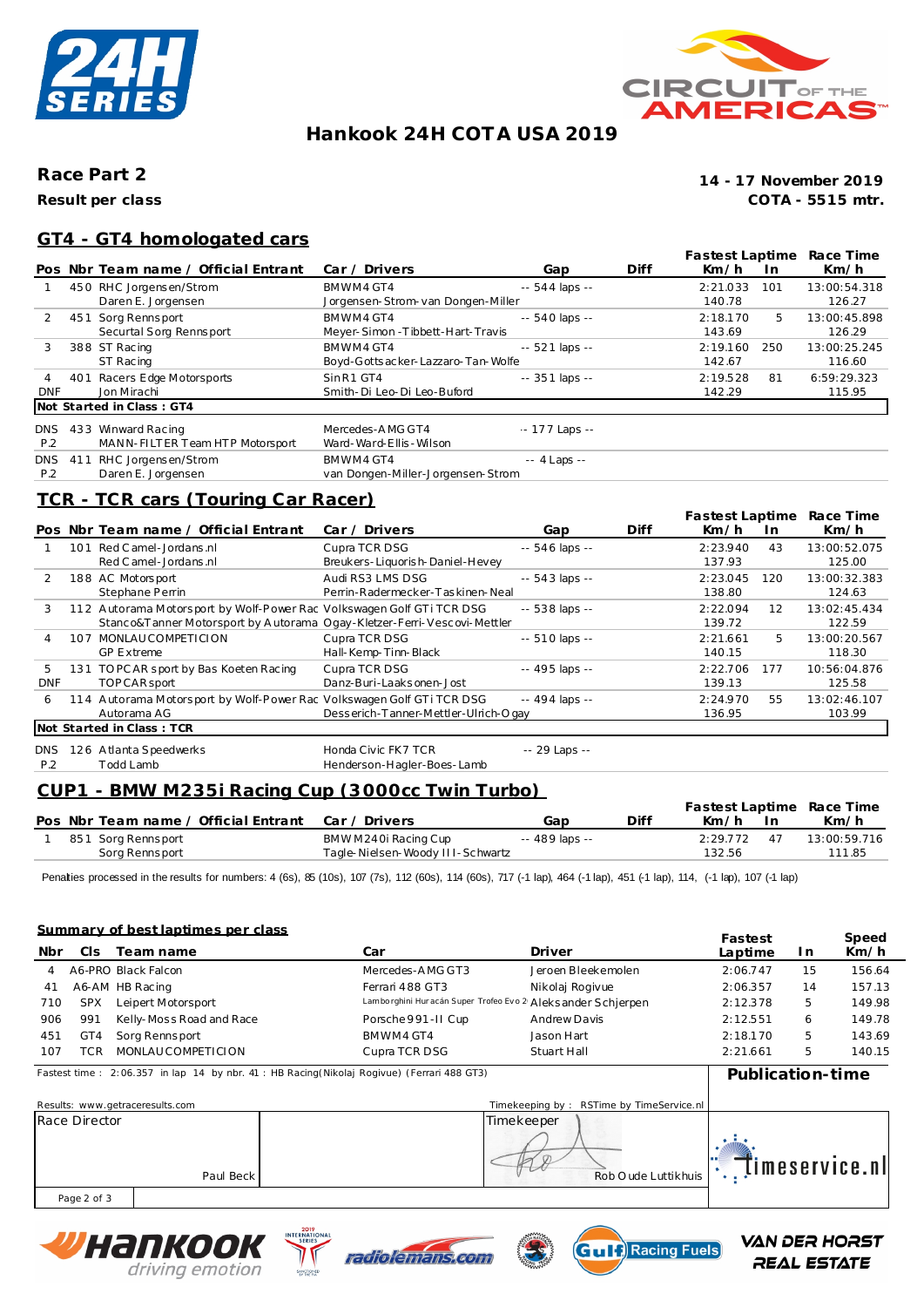



# **Hankook 24H COT A USA 2019**

### **Race Part 2**

**Result per class**

**COTA - 5515 mtr. 14 - 17 November 2019**

### **GT4 - GT4 homologated cars**

|            |     |                                      |                                    |                 |      | Fastest Laptime |     | Race Time    |
|------------|-----|--------------------------------------|------------------------------------|-----------------|------|-----------------|-----|--------------|
|            |     | Pos Nbr Team name / Official Entrant | Car / Drivers                      | Gap             | Diff | Km/h            | In. | Km/h         |
|            |     | 450 RHC Jorgensen/Strom              | BMWM4 GT4                          | $-544$ laps $-$ |      | 2:21.033        | 101 | 13:00:54.318 |
|            |     | Daren E. Jorgensen                   | Jorgensen-Strom-van Dongen-Miller  |                 |      | 140.78          |     | 126.27       |
|            |     | 451 Sorg Rennsport                   | BMWM4 GT4                          | $-540$ laps $-$ |      | 2:18.170        | 5   | 13:00:45.898 |
|            |     | Securtal Sorg Rennsport              | Meyer-Simon-Tibbett-Hart-Travis    |                 |      | 143.69          |     | 126.29       |
| 3          |     | 388 ST Racing                        | BMWM4 GT4                          | $-521$ laps $-$ |      | 2:19.160        | 250 | 13:00:25.245 |
|            |     | ST Racing                            | Boyd-Gotts acker-Lazzaro-Tan-Wolfe |                 |      | 142.67          |     | 116.60       |
| 4          |     | 401 Racers Edge Motorsports          | SinR1 GT4                          | $-351$ laps $-$ |      | 2:19.528        | 81  | 6:59:29.323  |
| <b>DNF</b> |     | Jon Mirachi                          | Smith-Di Leo-Di Leo-Buford         |                 |      | 142.29          |     | 115.95       |
|            |     | Not Started in Class: GT4            |                                    |                 |      |                 |     |              |
| <b>DNS</b> |     | 433 Winward Racing                   | Mercedes-AMG GT4                   | $-177$ Laps $-$ |      |                 |     |              |
| P.2        |     | MANN-FILTER Team HTP Motorsport      | Ward-Ward-Ellis-Wilson             |                 |      |                 |     |              |
| <b>DNS</b> | 411 | RHC Jorgensen/Strom                  | BMWM4 GT4                          | $-4$ Laps $-$   |      |                 |     |              |
| P.2        |     | Daren E. Jorgensen                   | van Dongen-Miller-Jorgensen-Strom  |                 |      |                 |     |              |

# **TCR - TCR cars (Touring Car Racer)**

|               |     |                                                                         |                                      |                 |      | Fastest Laptime |           | Race Time    |
|---------------|-----|-------------------------------------------------------------------------|--------------------------------------|-----------------|------|-----------------|-----------|--------------|
|               |     | Pos Nbr Team name / Official Entrant                                    | Car / Driver                         | Gap             | Diff | Km/h            | <u>In</u> | Km/h         |
|               | 101 | Red C amel - Jordans .nl                                                | Cupra TCR DSG                        | $-546$ laps $-$ |      | 2:23.940        | 43        | 13:00:52.075 |
|               |     | Red C amel - Jordans .nl                                                | Breukers-Liquorish-Daniel-Hevey      |                 |      | 137.93          |           | 125.00       |
| $\mathcal{P}$ |     | 188 AC Motorsport                                                       | Audi RS3 LMS DSG                     | $-543$ laps $-$ |      | 2:23.045        | 120       | 13:00:32.383 |
|               |     | Stephane Perrin                                                         | Perrin-Radermecker-Taskinen-Neal     |                 |      | 138.80          |           | 124.63       |
| 3             |     | 112 Autorama Motorsport by Wolf-Power Rac Volkswagen Golf GTi TCR DSG   |                                      | $-538$ laps $-$ |      | 2:22.094        | 12        | 13:02:45.434 |
|               |     | Stanco&Tanner Motorsport by Autorama Ogay-Kletzer-Ferri-Vescovi-Mettler |                                      |                 |      | 139.72          |           | 122.59       |
|               | 107 | MONLAUCOMPETICION                                                       | Cupra TCR DSG                        | $-510$ laps $-$ |      | 2:21.661        | 5.        | 13:00:20.567 |
|               |     | <b>GP Extreme</b>                                                       | Hall-Kemp-Tinn-Black                 |                 |      | 140.15          |           | 118.30       |
| 5             | 131 | TO PC AR sport by Bas Koeten Racing                                     | Cupra TCR DSG                        | -- 495 laps --  |      | 2:22.706        | 177       | 10:56:04.876 |
| <b>DNF</b>    |     | <b>TOPCAR</b> sport                                                     | Danz-Buri-Laaksonen-Jost             |                 |      | 139.13          |           | 125.58       |
| 6             |     | 114 Autorama Motorsport by Wolf-Power Rac Volkswagen Golf GTi TCR DSG   |                                      | -- 494 laps --  |      | 2:24.970        | 55        | 13:02:46.107 |
|               |     | Autorama AG                                                             | Desserich-Tanner-Mettler-Ulrich-Ogay |                 |      | 136.95          |           | 103.99       |
|               |     | Not Started in Class: TCR                                               |                                      |                 |      |                 |           |              |
| DNS.          |     | 126 Atlanta Speedwerks                                                  | Honda Civic FK7 TCR                  | -- 29 Laps --   |      |                 |           |              |
| P.2           |     | Todd Lamb                                                               | Henderson-Hagler-Boes-Lamb           |                 |      |                 |           |              |

# **CUP1 - BMW M235i Racing Cup (3000cc Twin Turbo)**

|  |                                                    |                                  |                |      |          |    | Fastest Laptime Race Time |
|--|----------------------------------------------------|----------------------------------|----------------|------|----------|----|---------------------------|
|  | Pos Nbr Team name / Official Entrant Car / Drivers |                                  | Gap            | Diff | Km/h     |    | Km/h                      |
|  | 851 Sorg Rennsport                                 | BMWM240i Racing Cup              | -- 489 laps -- |      | 2:29.772 | 47 | 13:00:59.716              |
|  | Sorg Rennsport                                     | Tagle-Nielsen-Woody III-Schwartz |                |      | 132.56   |    | 111.85                    |

Penalties processed in the results for numbers: 4 (6s), 85 (10s), 107 (7s), 112 (60s), 114 (60s), 717 (-1 lap), 464 (-1 lap), 451 (-1 lap), 114, (-1 lap), 107 (-1 lap), 107 (-1 lap),

#### **Summary of best laptimes per class**

| Nbr | C <sub>IS</sub> | <u>odininal y or boothap timos por orass</u><br>Team name                                  | Car                                                           | Driver             | Fastest<br>Laptime | In. | Speed<br>Km/h |
|-----|-----------------|--------------------------------------------------------------------------------------------|---------------------------------------------------------------|--------------------|--------------------|-----|---------------|
|     |                 | A6-PRO Black Falcon                                                                        | Mercedes-AMG GT3                                              | Jeroen Bleekemolen | 2:06.747           | 15  | 156.64        |
| 41  |                 | A6-AM HB Racing                                                                            | Ferrari 488 GT3                                               | Nikolaj Rogivue    | 2:06.357           | 14  | 157.13        |
| 710 | <b>SPX</b>      | Leipert Motorsport                                                                         | Lamborghini Hur acán Super Trofeo Evo 2 Aleks ander Schjerpen |                    | 2:12.378           | -5  | 149.98        |
| 906 | 991             | Kelly-Moss Road and Race                                                                   | Porsche 991-II Cup                                            | Andrew Davis       | 2:12.551           | 6   | 149.78        |
| 451 | GT4             | Sorg Rennsport                                                                             | BMWM4 GT4                                                     | Jason Hart         | 2:18.170           | .5  | 143.69        |
| 107 | TCR             | MONLAUCOMPETICION                                                                          | Cupra TCR DSG                                                 | Stuart Hall        | 2:21.661           | 5   | 140.15        |
|     |                 | Fastest time: 2:06.357 in lap 14 by nbr. 41 : HB Racing(Nikolaj Rogivue) (Ferrari 488 GT3) |                                                               |                    | Publication-time   |     |               |

| Results: www.getraceresults.com |           | Timekeeping by: RSTime by TimeService.nl |                |
|---------------------------------|-----------|------------------------------------------|----------------|
| Race Director                   | Paul Beck | Timekeeper<br>Rob O ude Luttikhuis       | Timeservice.nl |
| Page 2 of 3                     |           |                                          |                |







**VAN DER HORST** REAL ESTATE